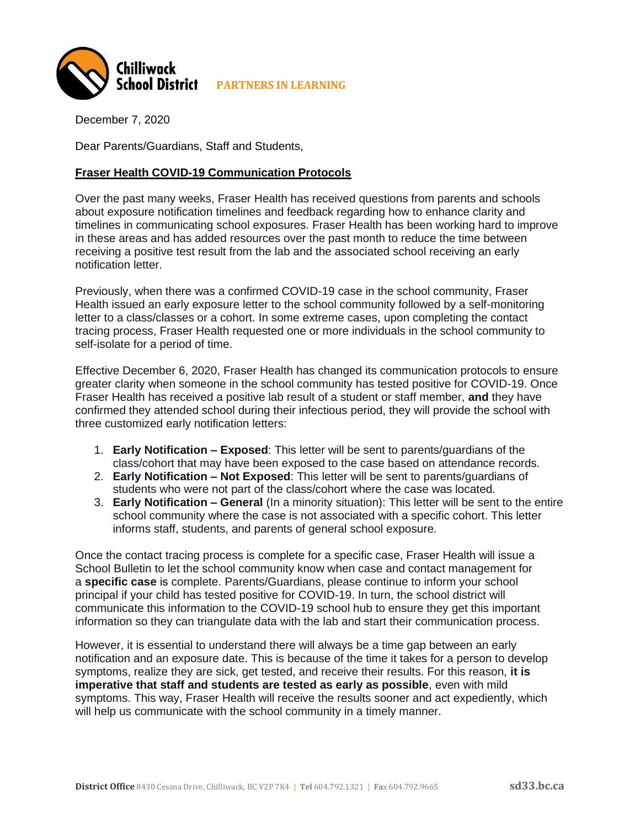

December 7, 2020

Dear Parents/Guardians, Staff and Students,

## **Fraser Health COVID-19 Communication Protocols**

Over the past many weeks, Fraser Health has received questions from parents and schools about exposure notification timelines and feedback regarding how to enhance clarity and timelines in communicating school exposures. Fraser Health has been working hard to improve in these areas and has added resources over the past month to reduce the time between receiving a positive test result from the lab and the associated school receiving an early notification letter.

Previously, when there was a confirmed COVID-19 case in the school community, Fraser Health issued an early exposure letter to the school community followed by a self-monitoring letter to a class/classes or a cohort. In some extreme cases, upon completing the contact tracing process, Fraser Health requested one or more individuals in the school community to self-isolate for a period of time.

Effective December 6, 2020, Fraser Health has changed its communication protocols to ensure greater clarity when someone in the school community has tested positive for COVID-19. Once Fraser Health has received a positive lab result of a student or staff member, **and** they have confirmed they attended school during their infectious period, they will provide the school with three customized early notification letters:

- 1. **Early Notification – Exposed**: This letter will be sent to parents/guardians of the class/cohort that may have been exposed to the case based on attendance records.
- 2. **Early Notification – Not Exposed**: This letter will be sent to parents/guardians of students who were not part of the class/cohort where the case was located.
- 3. **Early Notification – General** (In a minority situation): This letter will be sent to the entire school community where the case is not associated with a specific cohort. This letter informs staff, students, and parents of general school exposure.

Once the contact tracing process is complete for a specific case, Fraser Health will issue a School Bulletin to let the school community know when case and contact management for a **specific case** is complete. Parents/Guardians, please continue to inform your school principal if your child has tested positive for COVID-19. In turn, the school district will communicate this information to the COVID-19 school hub to ensure they get this important information so they can triangulate data with the lab and start their communication process.

However, it is essential to understand there will always be a time gap between an early notification and an exposure date. This is because of the time it takes for a person to develop symptoms, realize they are sick, get tested, and receive their results. For this reason, **it is imperative that staff and students are tested as early as possible**, even with mild symptoms. This way, Fraser Health will receive the results sooner and act expediently, which will help us communicate with the school community in a timely manner.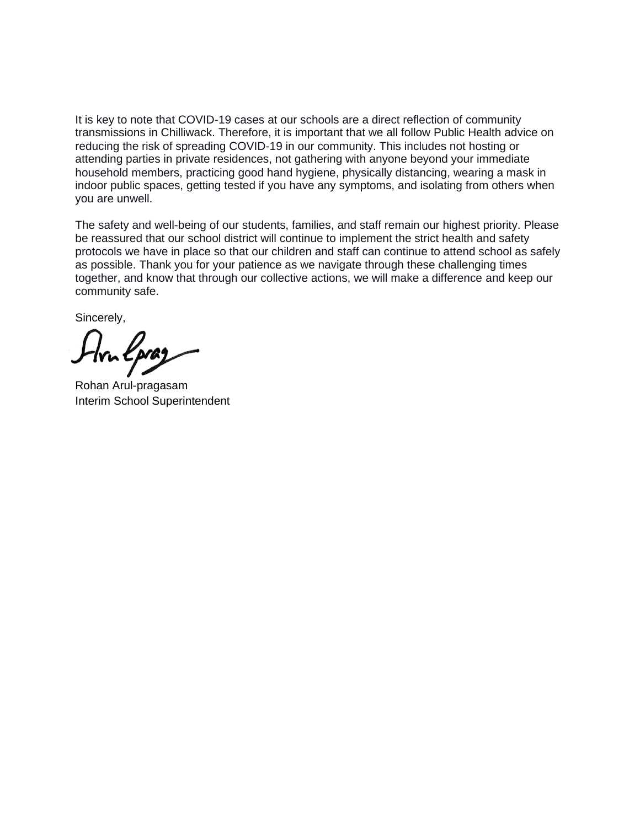It is key to note that COVID-19 cases at our schools are a direct reflection of community transmissions in Chilliwack. Therefore, it is important that we all follow Public Health advice on reducing the risk of spreading COVID-19 in our community. This includes not hosting or attending parties in private residences, not gathering with anyone beyond your immediate household members, practicing good hand hygiene, physically distancing, wearing a mask in indoor public spaces, getting tested if you have any symptoms, and isolating from others when you are unwell.

The safety and well-being of our students, families, and staff remain our highest priority. Please be reassured that our school district will continue to implement the strict health and safety protocols we have in place so that our children and staff can continue to attend school as safely as possible. Thank you for your patience as we navigate through these challenging times together, and know that through our collective actions, we will make a difference and keep our community safe.

Sincerely,

Rohan Arul-pragasam Interim School Superintendent